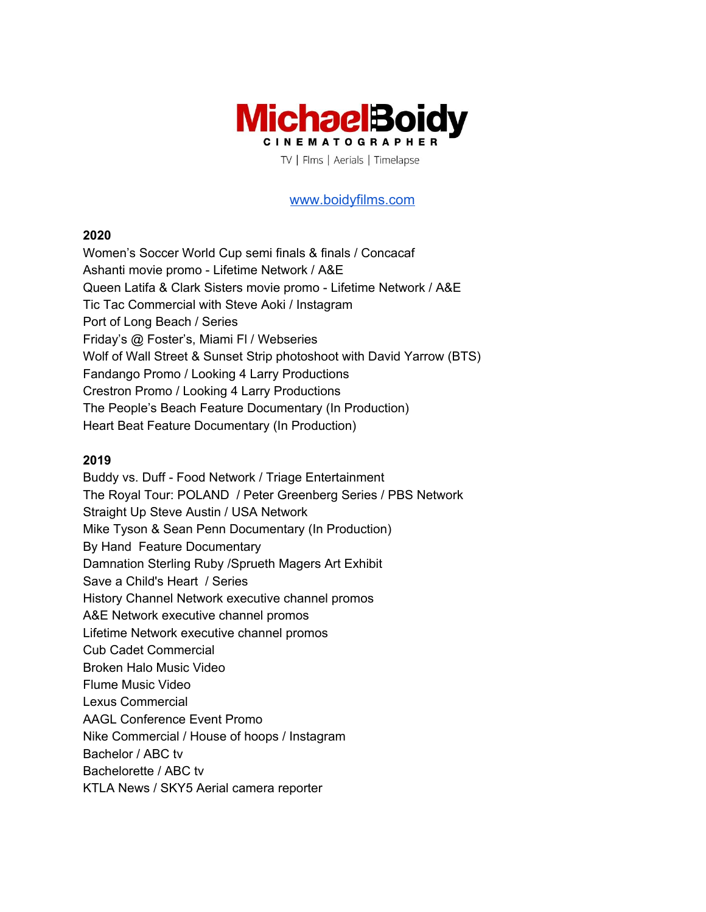

[www.boidyfilms.com](http://www.michaelboidyfilms.com/)

### **2020**

Women's Soccer World Cup semi finals & finals / Concacaf Ashanti movie promo - Lifetime Network / A&E Queen Latifa & Clark Sisters movie promo - Lifetime Network / A&E Tic Tac Commercial with Steve Aoki / Instagram Port of Long Beach / Series Friday's @ Foster's, Miami Fl / Webseries Wolf of Wall Street & Sunset Strip photoshoot with David Yarrow (BTS) Fandango Promo / Looking 4 Larry Productions Crestron Promo / Looking 4 Larry Productions The People's Beach Feature Documentary (In Production) Heart Beat Feature Documentary (In Production)

### **2019**

Buddy vs. Duff - Food Network / Triage Entertainment The Royal Tour: POLAND / Peter Greenberg Series / PBS Network Straight Up Steve Austin / USA Network Mike Tyson & Sean Penn Documentary (In Production) By Hand Feature Documentary Damnation Sterling Ruby /Sprueth Magers Art Exhibit Save a Child's Heart / Series History Channel Network executive channel promos A&E Network executive channel promos Lifetime Network executive channel promos Cub Cadet Commercial Broken Halo Music Video Flume Music Video Lexus Commercial AAGL Conference Event Promo Nike Commercial / House of hoops / Instagram Bachelor / ABC tv Bachelorette / ABC tv KTLA News / SKY5 Aerial camera reporter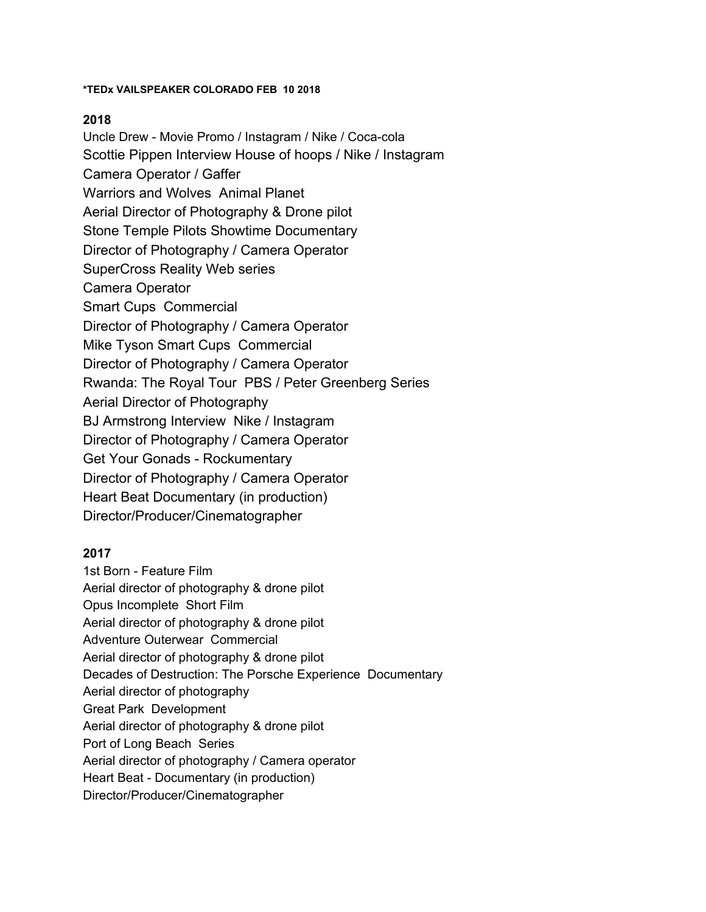#### **\*TEDx VAILSPEAKER COLORADO FEB 10 2018**

### **2018**

Uncle Drew - Movie Promo / Instagram / Nike / Coca-cola Scottie Pippen Interview House of hoops / Nike / Instagram Camera Operator / Gaffer Warriors and Wolves Animal Planet Aerial Director of Photography & Drone pilot Stone Temple Pilots Showtime Documentary Director of Photography / Camera Operator SuperCross Reality Web series Camera Operator Smart Cups Commercial Director of Photography / Camera Operator Mike Tyson Smart Cups Commercial Director of Photography / Camera Operator Rwanda: The Royal Tour PBS / Peter Greenberg Series Aerial Director of Photography BJ Armstrong Interview Nike / Instagram Director of Photography / Camera Operator Get Your Gonads - Rockumentary Director of Photography / Camera Operator Heart Beat Documentary (in production) Director/Producer/Cinematographer

### **2017**

1st Born - Feature Film Aerial director of photography & drone pilot Opus Incomplete Short Film Aerial director of photography & drone pilot Adventure Outerwear Commercial Aerial director of photography & drone pilot Decades of Destruction: The Porsche Experience Documentary Aerial director of photography Great Park Development Aerial director of photography & drone pilot Port of Long Beach Series Aerial director of photography / Camera operator Heart Beat - Documentary (in production) Director/Producer/Cinematographer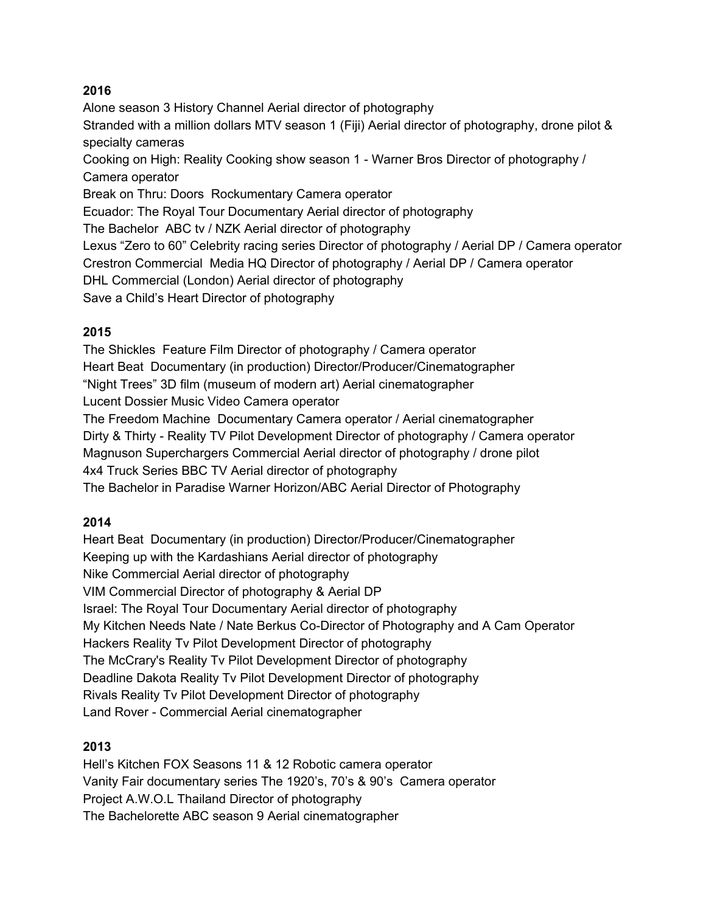## **2016**

Alone season 3 History Channel Aerial director of photography Stranded with a million dollars MTV season 1 (Fiji) Aerial director of photography, drone pilot & specialty cameras Cooking on High: Reality Cooking show season 1 - Warner Bros Director of photography / Camera operator Break on Thru: Doors Rockumentary Camera operator Ecuador: The Royal Tour Documentary Aerial director of photography The Bachelor ABC tv / NZK Aerial director of photography Lexus "Zero to 60" Celebrity racing series Director of photography / Aerial DP / Camera operator Crestron Commercial Media HQ Director of photography / Aerial DP / Camera operator DHL Commercial (London) Aerial director of photography Save a Child's Heart Director of photography

## **2015**

The Shickles Feature Film Director of photography / Camera operator Heart Beat Documentary (in production) Director/Producer/Cinematographer "Night Trees" 3D film (museum of modern art) Aerial cinematographer Lucent Dossier Music Video Camera operator The Freedom Machine Documentary Camera operator / Aerial cinematographer Dirty & Thirty - Reality TV Pilot Development Director of photography / Camera operator Magnuson Superchargers Commercial Aerial director of photography / drone pilot 4x4 Truck Series BBC TV Aerial director of photography The Bachelor in Paradise Warner Horizon/ABC Aerial Director of Photography

## **2014**

Heart Beat Documentary (in production) Director/Producer/Cinematographer Keeping up with the Kardashians Aerial director of photography Nike Commercial Aerial director of photography VIM Commercial Director of photography & Aerial DP Israel: The Royal Tour Documentary Aerial director of photography My Kitchen Needs Nate / Nate Berkus Co-Director of Photography and A Cam Operator Hackers Reality Tv Pilot Development Director of photography The McCrary's Reality Tv Pilot Development Director of photography Deadline Dakota Reality Tv Pilot Development Director of photography Rivals Reality Tv Pilot Development Director of photography Land Rover - Commercial Aerial cinematographer

## **2013**

Hell's Kitchen FOX Seasons 11 & 12 Robotic camera operator Vanity Fair documentary series The 1920's, 70's & 90's Camera operator Project A.W.O.L Thailand Director of photography The Bachelorette ABC season 9 Aerial cinematographer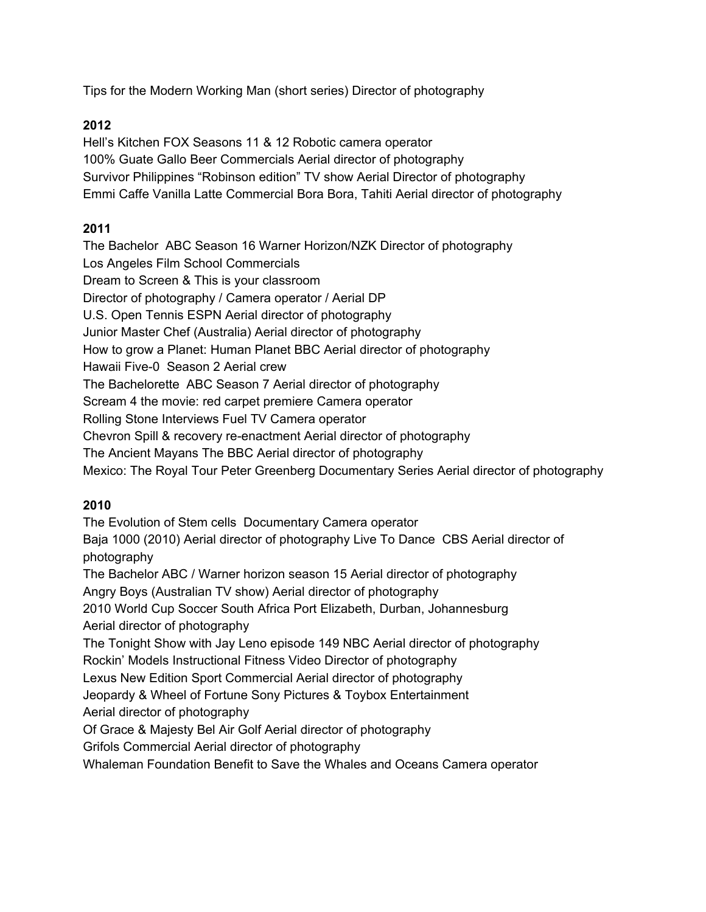Tips for the Modern Working Man (short series) Director of photography

# **2012**

Hell's Kitchen FOX Seasons 11 & 12 Robotic camera operator 100% Guate Gallo Beer Commercials Aerial director of photography Survivor Philippines "Robinson edition" TV show Aerial Director of photography Emmi Caffe Vanilla Latte Commercial Bora Bora, Tahiti Aerial director of photography

# **2011**

The Bachelor ABC Season 16 Warner Horizon/NZK Director of photography Los Angeles Film School Commercials Dream to Screen & This is your classroom Director of photography / Camera operator / Aerial DP U.S. Open Tennis ESPN Aerial director of photography Junior Master Chef (Australia) Aerial director of photography How to grow a Planet: Human Planet BBC Aerial director of photography Hawaii Five-0 Season 2 Aerial crew The Bachelorette ABC Season 7 Aerial director of photography Scream 4 the movie: red carpet premiere Camera operator Rolling Stone Interviews Fuel TV Camera operator Chevron Spill & recovery re-enactment Aerial director of photography The Ancient Mayans The BBC Aerial director of photography Mexico: The Royal Tour Peter Greenberg Documentary Series Aerial director of photography

# **2010**

The Evolution of Stem cells Documentary Camera operator Baja 1000 (2010) Aerial director of photography Live To Dance CBS Aerial director of photography The Bachelor ABC / Warner horizon season 15 Aerial director of photography Angry Boys (Australian TV show) Aerial director of photography 2010 World Cup Soccer South Africa Port Elizabeth, Durban, Johannesburg Aerial director of photography The Tonight Show with Jay Leno episode 149 NBC Aerial director of photography Rockin' Models Instructional Fitness Video Director of photography Lexus New Edition Sport Commercial Aerial director of photography Jeopardy & Wheel of Fortune Sony Pictures & Toybox Entertainment Aerial director of photography Of Grace & Majesty Bel Air Golf Aerial director of photography Grifols Commercial Aerial director of photography Whaleman Foundation Benefit to Save the Whales and Oceans Camera operator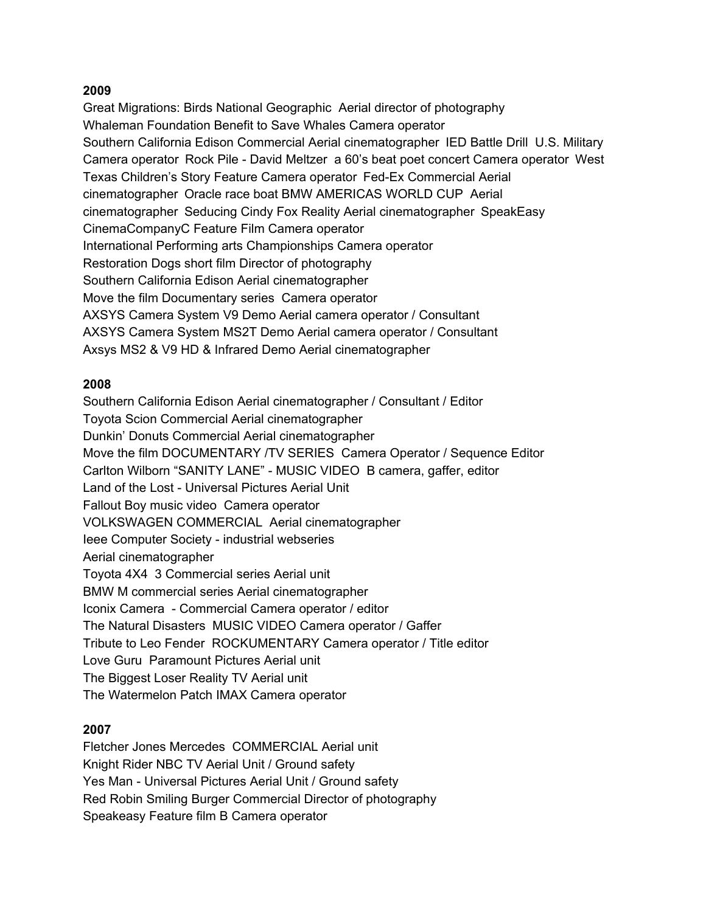## **2009**

Great Migrations: Birds National Geographic Aerial director of photography Whaleman Foundation Benefit to Save Whales Camera operator Southern California Edison Commercial Aerial cinematographer IED Battle Drill U.S. Military Camera operator Rock Pile - David Meltzer a 60's beat poet concert Camera operator West Texas Children's Story Feature Camera operator Fed-Ex Commercial Aerial cinematographer Oracle race boat BMW AMERICAS WORLD CUP Aerial cinematographer Seducing Cindy Fox Reality Aerial cinematographer SpeakEasy CinemaCompanyC Feature Film Camera operator International Performing arts Championships Camera operator Restoration Dogs short film Director of photography Southern California Edison Aerial cinematographer Move the film Documentary series Camera operator AXSYS Camera System V9 Demo Aerial camera operator / Consultant AXSYS Camera System MS2T Demo Aerial camera operator / Consultant Axsys MS2 & V9 HD & Infrared Demo Aerial cinematographer

### **2008**

Southern California Edison Aerial cinematographer / Consultant / Editor Toyota Scion Commercial Aerial cinematographer Dunkin' Donuts Commercial Aerial cinematographer Move the film DOCUMENTARY /TV SERIES Camera Operator / Sequence Editor Carlton Wilborn "SANITY LANE" - MUSIC VIDEO B camera, gaffer, editor Land of the Lost - Universal Pictures Aerial Unit Fallout Boy music video Camera operator VOLKSWAGEN COMMERCIAL Aerial cinematographer Ieee Computer Society - industrial webseries Aerial cinematographer Toyota 4X4 3 Commercial series Aerial unit BMW M commercial series Aerial cinematographer Iconix Camera - Commercial Camera operator / editor The Natural Disasters MUSIC VIDEO Camera operator / Gaffer Tribute to Leo Fender ROCKUMENTARY Camera operator / Title editor Love Guru Paramount Pictures Aerial unit The Biggest Loser Reality TV Aerial unit The Watermelon Patch IMAX Camera operator

### **2007**

Fletcher Jones Mercedes COMMERCIAL Aerial unit Knight Rider NBC TV Aerial Unit / Ground safety Yes Man - Universal Pictures Aerial Unit / Ground safety Red Robin Smiling Burger Commercial Director of photography Speakeasy Feature film B Camera operator